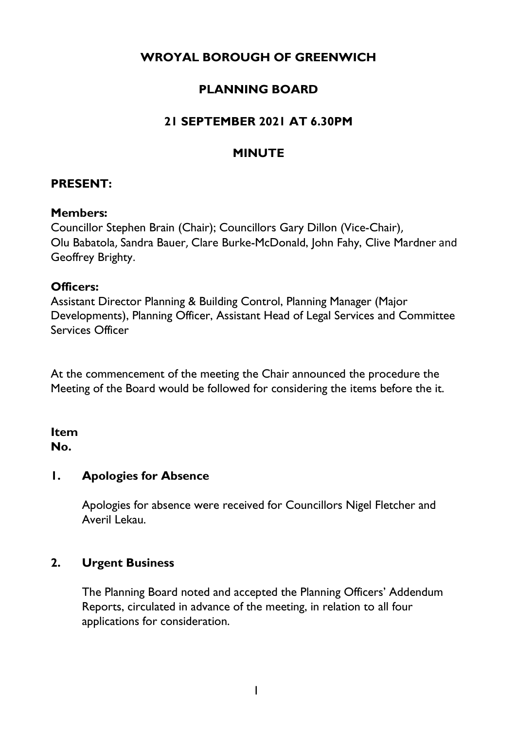# **WROYAL BOROUGH OF GREENWICH**

# **PLANNING BOARD**

# **21 SEPTEMBER 2021 AT 6.30PM**

### **MINUTE**

### **PRESENT:**

#### **Members:**

Councillor Stephen Brain (Chair); Councillors Gary Dillon (Vice-Chair), Olu Babatola, Sandra Bauer, Clare Burke-McDonald, John Fahy, Clive Mardner and Geoffrey Brighty.

#### **Officers:**

Assistant Director Planning & Building Control, Planning Manager (Major Developments), Planning Officer, Assistant Head of Legal Services and Committee Services Officer

At the commencement of the meeting the Chair announced the procedure the Meeting of the Board would be followed for considering the items before the it.

### **Item No.**

### **1. Apologies for Absence**

Apologies for absence were received for Councillors Nigel Fletcher and Averil Lekau.

### **2. Urgent Business**

The Planning Board noted and accepted the Planning Officers' Addendum Reports, circulated in advance of the meeting, in relation to all four applications for consideration.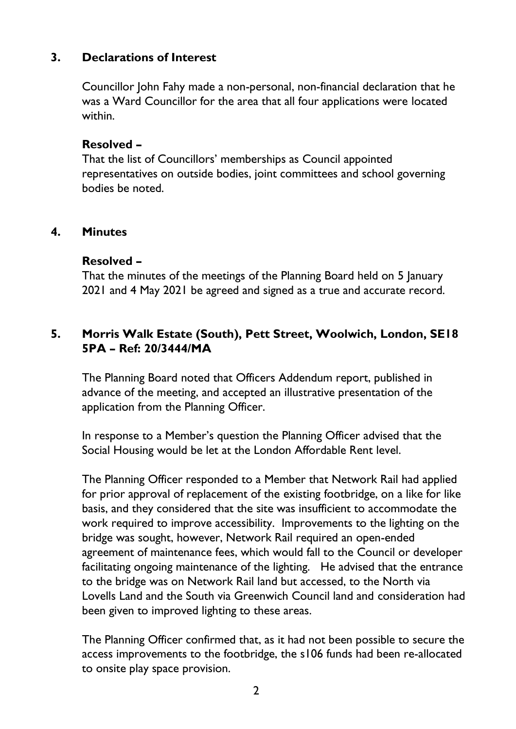### **3. Declarations of Interest**

Councillor John Fahy made a non-personal, non-financial declaration that he was a Ward Councillor for the area that all four applications were located within.

#### **Resolved –**

That the list of Councillors' memberships as Council appointed representatives on outside bodies, joint committees and school governing bodies be noted.

#### **4. Minutes**

#### **Resolved –**

That the minutes of the meetings of the Planning Board held on 5 January 2021 and 4 May 2021 be agreed and signed as a true and accurate record.

## **5. Morris Walk Estate (South), Pett Street, Woolwich, London, SE18 5PA – Ref: 20/3444/MA**

The Planning Board noted that Officers Addendum report, published in advance of the meeting, and accepted an illustrative presentation of the application from the Planning Officer.

In response to a Member's question the Planning Officer advised that the Social Housing would be let at the London Affordable Rent level.

The Planning Officer responded to a Member that Network Rail had applied for prior approval of replacement of the existing footbridge, on a like for like basis, and they considered that the site was insufficient to accommodate the work required to improve accessibility. Improvements to the lighting on the bridge was sought, however, Network Rail required an open-ended agreement of maintenance fees, which would fall to the Council or developer facilitating ongoing maintenance of the lighting. He advised that the entrance to the bridge was on Network Rail land but accessed, to the North via Lovells Land and the South via Greenwich Council land and consideration had been given to improved lighting to these areas.

The Planning Officer confirmed that, as it had not been possible to secure the access improvements to the footbridge, the s106 funds had been re-allocated to onsite play space provision.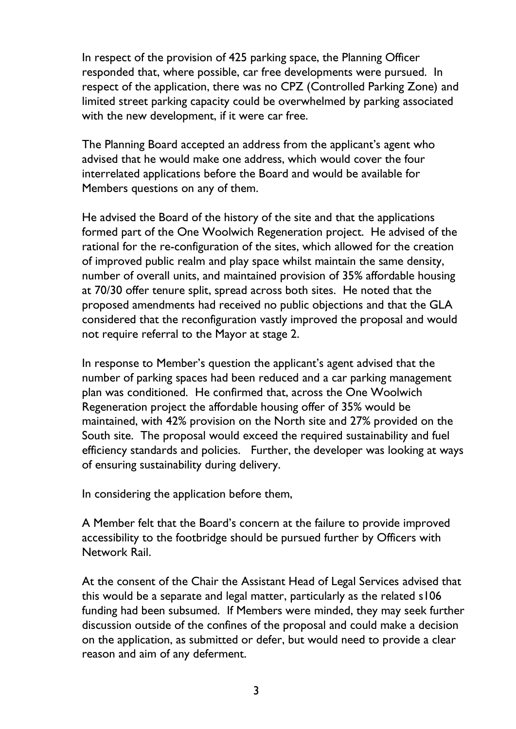In respect of the provision of 425 parking space, the Planning Officer responded that, where possible, car free developments were pursued. In respect of the application, there was no CPZ (Controlled Parking Zone) and limited street parking capacity could be overwhelmed by parking associated with the new development, if it were car free.

The Planning Board accepted an address from the applicant's agent who advised that he would make one address, which would cover the four interrelated applications before the Board and would be available for Members questions on any of them.

He advised the Board of the history of the site and that the applications formed part of the One Woolwich Regeneration project. He advised of the rational for the re-configuration of the sites, which allowed for the creation of improved public realm and play space whilst maintain the same density, number of overall units, and maintained provision of 35% affordable housing at 70/30 offer tenure split, spread across both sites. He noted that the proposed amendments had received no public objections and that the GLA considered that the reconfiguration vastly improved the proposal and would not require referral to the Mayor at stage 2.

In response to Member's question the applicant's agent advised that the number of parking spaces had been reduced and a car parking management plan was conditioned. He confirmed that, across the One Woolwich Regeneration project the affordable housing offer of 35% would be maintained, with 42% provision on the North site and 27% provided on the South site. The proposal would exceed the required sustainability and fuel efficiency standards and policies. Further, the developer was looking at ways of ensuring sustainability during delivery.

In considering the application before them,

A Member felt that the Board's concern at the failure to provide improved accessibility to the footbridge should be pursued further by Officers with Network Rail.

At the consent of the Chair the Assistant Head of Legal Services advised that this would be a separate and legal matter, particularly as the related s106 funding had been subsumed. If Members were minded, they may seek further discussion outside of the confines of the proposal and could make a decision on the application, as submitted or defer, but would need to provide a clear reason and aim of any deferment.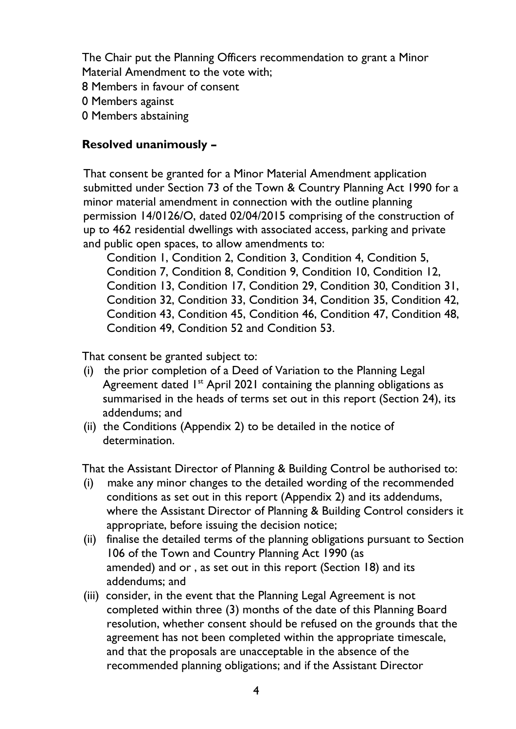The Chair put the Planning Officers recommendation to grant a Minor Material Amendment to the vote with;

8 Members in favour of consent

0 Members against

0 Members abstaining

## **Resolved unanimously –**

That consent be granted for a Minor Material Amendment application submitted under Section 73 of the Town & Country Planning Act 1990 for a minor material amendment in connection with the outline planning permission 14/0126/O, dated 02/04/2015 comprising of the construction of up to 462 residential dwellings with associated access, parking and private and public open spaces, to allow amendments to:

Condition 1, Condition 2, Condition 3, Condition 4, Condition 5, Condition 7, Condition 8, Condition 9, Condition 10, Condition 12, Condition 13, Condition 17, Condition 29, Condition 30, Condition 31, Condition 32, Condition 33, Condition 34, Condition 35, Condition 42, Condition 43, Condition 45, Condition 46, Condition 47, Condition 48, Condition 49, Condition 52 and Condition 53.

That consent be granted subject to:

- (i) the prior completion of a Deed of Variation to the Planning Legal Agreement dated  $I<sup>st</sup>$  April 2021 containing the planning obligations as summarised in the heads of terms set out in this report (Section 24), its addendums; and
- (ii) the Conditions (Appendix 2) to be detailed in the notice of determination.

That the Assistant Director of Planning & Building Control be authorised to:

- (i) make any minor changes to the detailed wording of the recommended conditions as set out in this report (Appendix 2) and its addendums, where the Assistant Director of Planning & Building Control considers it appropriate, before issuing the decision notice;
- (ii) finalise the detailed terms of the planning obligations pursuant to Section 106 of the Town and Country Planning Act 1990 (as amended) and or , as set out in this report (Section 18) and its addendums; and
- (iii) consider, in the event that the Planning Legal Agreement is not completed within three (3) months of the date of this Planning Board resolution, whether consent should be refused on the grounds that the agreement has not been completed within the appropriate timescale, and that the proposals are unacceptable in the absence of the recommended planning obligations; and if the Assistant Director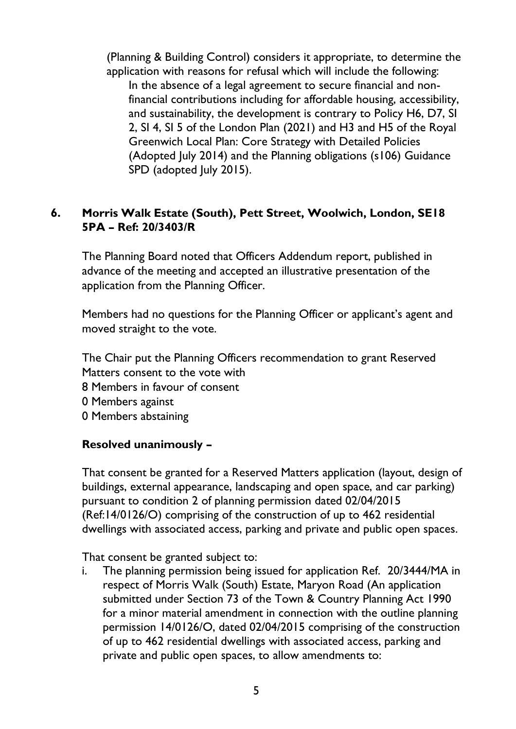(Planning & Building Control) considers it appropriate, to determine the application with reasons for refusal which will include the following: In the absence of a legal agreement to secure financial and nonfinancial contributions including for affordable housing, accessibility, and sustainability, the development is contrary to Policy H6, D7, SI 2, SI 4, SI 5 of the London Plan (2021) and H3 and H5 of the Royal Greenwich Local Plan: Core Strategy with Detailed Policies (Adopted July 2014) and the Planning obligations (s106) Guidance SPD (adopted July 2015).

### **6. Morris Walk Estate (South), Pett Street, Woolwich, London, SE18 5PA – Ref: 20/3403/R**

The Planning Board noted that Officers Addendum report, published in advance of the meeting and accepted an illustrative presentation of the application from the Planning Officer.

Members had no questions for the Planning Officer or applicant's agent and moved straight to the vote.

The Chair put the Planning Officers recommendation to grant Reserved Matters consent to the vote with

- 8 Members in favour of consent
- 0 Members against
- 0 Members abstaining

#### **Resolved unanimously –**

That consent be granted for a Reserved Matters application (layout, design of buildings, external appearance, landscaping and open space, and car parking) pursuant to condition 2 of planning permission dated 02/04/2015 (Ref:14/0126/O) comprising of the construction of up to 462 residential dwellings with associated access, parking and private and public open spaces.

That consent be granted subject to:

i. The planning permission being issued for application Ref. 20/3444/MA in respect of Morris Walk (South) Estate, Maryon Road (An application submitted under Section 73 of the Town & Country Planning Act 1990 for a minor material amendment in connection with the outline planning permission 14/0126/O, dated 02/04/2015 comprising of the construction of up to 462 residential dwellings with associated access, parking and private and public open spaces, to allow amendments to: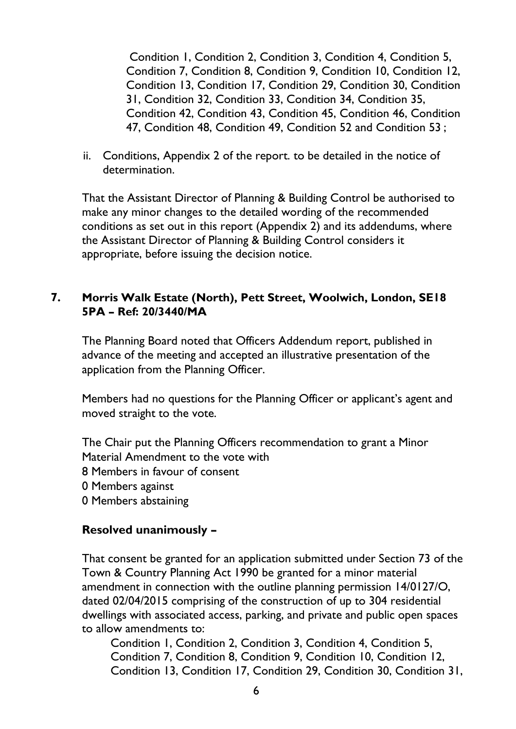Condition 1, Condition 2, Condition 3, Condition 4, Condition 5, Condition 7, Condition 8, Condition 9, Condition 10, Condition 12, Condition 13, Condition 17, Condition 29, Condition 30, Condition 31, Condition 32, Condition 33, Condition 34, Condition 35, Condition 42, Condition 43, Condition 45, Condition 46, Condition 47, Condition 48, Condition 49, Condition 52 and Condition 53 ;

ii. Conditions, Appendix 2 of the report. to be detailed in the notice of determination.

That the Assistant Director of Planning & Building Control be authorised to make any minor changes to the detailed wording of the recommended conditions as set out in this report (Appendix 2) and its addendums, where the Assistant Director of Planning & Building Control considers it appropriate, before issuing the decision notice.

### **7. Morris Walk Estate (North), Pett Street, Woolwich, London, SE18 5PA – Ref: 20/3440/MA**

The Planning Board noted that Officers Addendum report, published in advance of the meeting and accepted an illustrative presentation of the application from the Planning Officer.

Members had no questions for the Planning Officer or applicant's agent and moved straight to the vote.

The Chair put the Planning Officers recommendation to grant a Minor Material Amendment to the vote with

- 8 Members in favour of consent
- 0 Members against
- 0 Members abstaining

#### **Resolved unanimously –**

That consent be granted for an application submitted under Section 73 of the Town & Country Planning Act 1990 be granted for a minor material amendment in connection with the outline planning permission 14/0127/O, dated 02/04/2015 comprising of the construction of up to 304 residential dwellings with associated access, parking, and private and public open spaces to allow amendments to:

Condition 1, Condition 2, Condition 3, Condition 4, Condition 5, Condition 7, Condition 8, Condition 9, Condition 10, Condition 12, Condition 13, Condition 17, Condition 29, Condition 30, Condition 31,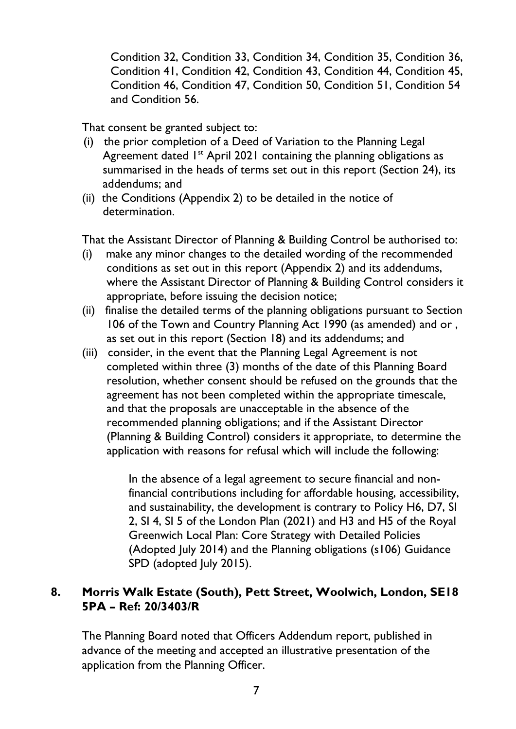Condition 32, Condition 33, Condition 34, Condition 35, Condition 36, Condition 41, Condition 42, Condition 43, Condition 44, Condition 45, Condition 46, Condition 47, Condition 50, Condition 51, Condition 54 and Condition 56.

That consent be granted subject to:

- (i) the prior completion of a Deed of Variation to the Planning Legal Agreement dated 1<sup>st</sup> April 2021 containing the planning obligations as summarised in the heads of terms set out in this report (Section 24), its addendums; and
- (ii) the Conditions (Appendix 2) to be detailed in the notice of determination.

That the Assistant Director of Planning & Building Control be authorised to:

- (i) make any minor changes to the detailed wording of the recommended conditions as set out in this report (Appendix 2) and its addendums, where the Assistant Director of Planning & Building Control considers it appropriate, before issuing the decision notice;
- (ii) finalise the detailed terms of the planning obligations pursuant to Section 106 of the Town and Country Planning Act 1990 (as amended) and or , as set out in this report (Section 18) and its addendums; and
- (iii) consider, in the event that the Planning Legal Agreement is not completed within three (3) months of the date of this Planning Board resolution, whether consent should be refused on the grounds that the agreement has not been completed within the appropriate timescale, and that the proposals are unacceptable in the absence of the recommended planning obligations; and if the Assistant Director (Planning & Building Control) considers it appropriate, to determine the application with reasons for refusal which will include the following:

In the absence of a legal agreement to secure financial and nonfinancial contributions including for affordable housing, accessibility, and sustainability, the development is contrary to Policy H6, D7, SI 2, SI 4, SI 5 of the London Plan (2021) and H3 and H5 of the Royal Greenwich Local Plan: Core Strategy with Detailed Policies (Adopted July 2014) and the Planning obligations (s106) Guidance SPD (adopted July 2015).

## **8. Morris Walk Estate (South), Pett Street, Woolwich, London, SE18 5PA – Ref: 20/3403/R**

The Planning Board noted that Officers Addendum report, published in advance of the meeting and accepted an illustrative presentation of the application from the Planning Officer.